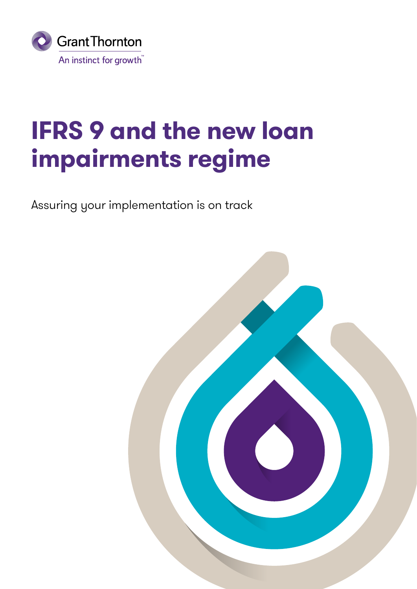

# **IFRS 9 and the new loan impairments regime**

Assuring your implementation is on track

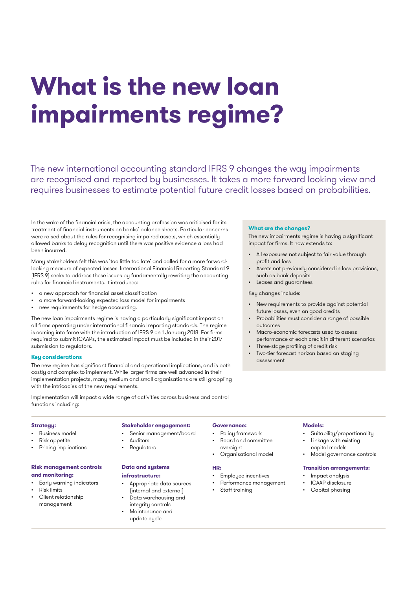# **What is the new loan impairments regime?**

The new international accounting standard IFRS 9 changes the way impairments are recognised and reported by businesses. It takes a more forward looking view and requires businesses to estimate potential future credit losses based on probabilities.

In the wake of the financial crisis, the accounting profession was criticised for its treatment of financial instruments on banks' balance sheets. Particular concerns were raised about the rules for recognising impaired assets, which essentially allowed banks to delay recognition until there was positive evidence a loss had been incurred.

Many stakeholders felt this was 'too little too late' and called for a more forwardlooking measure of expected losses. International Financial Reporting Standard 9 (IFRS 9) seeks to address these issues by fundamentally rewriting the accounting rules for financial instruments. It introduces:

- a new approach for financial asset classification
- a more forward-looking expected loss model for impairments
- new requirements for hedge accounting.

The new loan impairments regime is having a particularly significant impact on all firms operating under international financial reporting standards. The regime is coming into force with the introduction of IFRS 9 on 1 January 2018. For firms required to submit ICAAPs, the estimated impact must be included in their 2017 submission to regulators.

#### **Key considerations**

The new regime has significant financial and operational implications, and is both costly and complex to implement. While larger firms are well advanced in their implementation projects, many medium and small organisations are still grappling with the intricacies of the new requirements.

Implementation will impact a wide range of activities across business and control functions including:

#### **Strategy:**

- Business model
- Risk appetite
- Pricing implications

# **Risk management controls and monitoring:**

- Early warning indicators
- Risk limits
- Client relationship management

# **Stakeholder engagement:**

- Senior management/board
- **Auditors**
- **Regulators**

## **Data and systems infrastructure:**

- Appropriate data sources (internal and external)
- Data warehousing and integrity controls
- Maintenance and update cycle

# **Governance:**

- Policy framework
- Board and committee oversight
- 
- **HR:**
- Employee incentives
- Performance management
- Staff training

### **What are the changes?**

The new impairments regime is having a significant impact for firms. It now extends to:

- All exposures not subject to fair value through profit and loss
- Assets not previously considered in loss provisions, such as bank deposits
- Leases and guarantees

# Key changes include:

- New requirements to provide against potential future losses, even on good credits
- Probabilities must consider a range of possible outcomes
- Macro-economic forecasts used to assess performance of each credit in different scenarios
- Three-stage profiling of credit risk
- Two-tier forecast horizon based on staging assessment

#### **Models:**

- Suitability/proportionality
- Linkage with existing capital models
- Model governance controls

# **Transition arrangements:**

- Impact analysis
- ICAAP disclosure
- Capital phasing
- Organisational model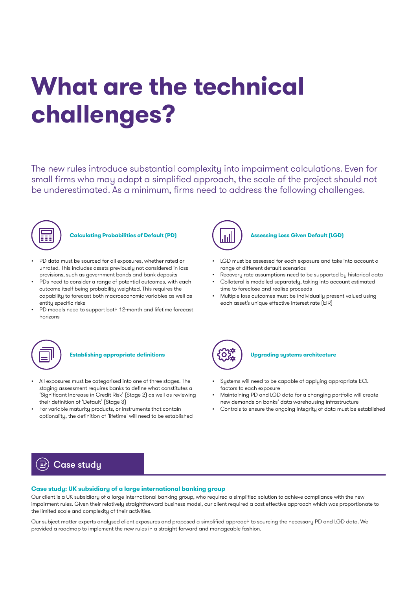# **What are the technical challenges?**

The new rules introduce substantial complexity into impairment calculations. Even for small firms who may adopt a simplified approach, the scale of the project should not be underestimated. As a minimum, firms need to address the following challenges.



# **Calculating Probabilities of Default (PD)**

- PD data must be sourced for all exposures, whether rated or unrated. This includes assets previously not considered in loss provisions, such as government bonds and bank deposits
- PDs need to consider a range of potential outcomes, with each outcome itself being probability weighted. This requires the capability to forecast both macroeconomic variables as well as entity specific risks
- PD models need to support both 12-month and lifetime forecast horizons



# **Establishing appropriate definitions**

- All exposures must be categorised into one of three stages. The staging assessment requires banks to define what constitutes a 'Significant Increase in Credit Risk' (Stage 2) as well as reviewing their definition of 'Default' (Stage 3)
- For variable maturity products, or instruments that contain optionality, the definition of 'lifetime' will need to be established



# **Assessing Loss Given Default (LGD)**

- LGD must be assessed for each exposure and take into account a range of different default scenarios
- Recovery rate assumptions need to be supported by historical data
- Collateral is modelled separately, taking into account estimated time to foreclose and realise proceeds
- Multiple loss outcomes must be individually present valued using each asset's unique effective interest rate (EIR)



### **Upgrading systems architecture**

- Systems will need to be capable of applying appropriate ECL factors to each exposure
- Maintaining PD and LGD data for a changing portfolio will create new demands on banks' data warehousing infrastructure
- Controls to ensure the ongoing integrity of data must be established

# $\left(\overline{\mathbb{B}}\right)$  Case study

### **Case study: UK subsidiary of a large international banking group**

Our client is a UK subsidiary of a large international banking group, who required a simplified solution to achieve compliance with the new impairment rules. Given their relatively straightforward business model, our client required a cost effective approach which was proportionate to the limited scale and complexity of their activities.

Our subject matter experts analysed client exposures and proposed a simplified approach to sourcing the necessary PD and LGD data. We provided a roadmap to implement the new rules in a straight forward and manageable fashion.